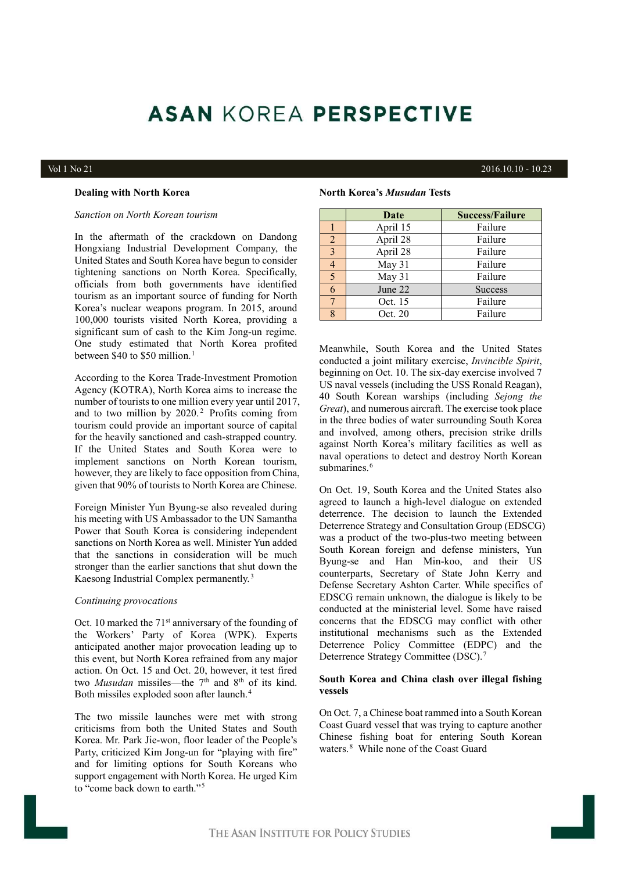# **ASAN KOREA PERSPECTIVE**

# Vol 1 No 21 2016.10.10 - 10.23

# **Dealing with North Korea**

# *Sanction on North Korean tourism*

In the aftermath of the crackdown on Dandong Hongxiang Industrial Development Company, the United States and South Korea have begun to consider tightening sanctions on North Korea. Specifically, officials from both governments have identified tourism as an important source of funding for North Korea's nuclear weapons program. In 2015, around 100,000 tourists visited North Korea, providing a significant sum of cash to the Kim Jong-un regime. One study estimated that North Korea profited between \$40 to \$50 million.<sup>1</sup>

According to the Korea Trade-Investment Promotion Agency (KOTRA), North Korea aims to increase the number of tourists to one million every year until 2017, and to two million by 2020.<sup>2</sup> Profits coming from tourism could provide an important source of capital for the heavily sanctioned and cash-strapped country. If the United States and South Korea were to implement sanctions on North Korean tourism, however, they are likely to face opposition from China, given that 90% of tourists to North Korea are Chinese.

Foreign Minister Yun Byung-se also revealed during his meeting with US Ambassador to the UN Samantha Power that South Korea is considering independent sanctions on North Korea as well. Minister Yun added that the sanctions in consideration will be much stronger than the earlier sanctions that shut down the Kaesong Industrial Complex permanently.<sup>3</sup>

#### *Continuing provocations*

Oct. 10 marked the  $71<sup>st</sup>$  anniversary of the founding of the Workers' Party of Korea (WPK). Experts anticipated another major provocation leading up to this event, but North Korea refrained from any major action. On Oct. 15 and Oct. 20, however, it test fired two *Musudan* missiles—the 7<sup>th</sup> and 8<sup>th</sup> of its kind. Both missiles exploded soon after launch.<sup>4</sup>

The two missile launches were met with strong criticisms from both the United States and South Korea. Mr. Park Jie-won, floor leader of the People's Party, criticized Kim Jong-un for "playing with fire" and for limiting options for South Koreans who support engagement with North Korea. He urged Kim to "come back down to earth."<sup>5</sup>

# **North Korea's** *Musudan* **Tests**

|   | Date     | <b>Success/Failure</b> |
|---|----------|------------------------|
|   | April 15 | Failure                |
| 2 | April 28 | Failure                |
| 3 | April 28 | Failure                |
|   | May 31   | Failure                |
|   | May 31   | Failure                |
|   | June 22  | <b>Success</b>         |
|   | Oct. 15  | Failure                |
|   | Oct. 20  | Failure                |

Meanwhile, South Korea and the United States conducted a joint military exercise, *Invincible Spirit*, beginning on Oct. 10. The six-day exercise involved 7 US naval vessels (including the USS Ronald Reagan), 40 South Korean warships (including *Sejong the Great*), and numerous aircraft. The exercise took place in the three bodies of water surrounding South Korea and involved, among others, precision strike drills against North Korea's military facilities as well as naval operations to detect and destroy North Korean submarines.<sup>6</sup>

On Oct. 19, South Korea and the United States also agreed to launch a high-level dialogue on extended deterrence. The decision to launch the Extended Deterrence Strategy and Consultation Group (EDSCG) was a product of the two-plus-two meeting between South Korean foreign and defense ministers, Yun Byung-se and Han Min-koo, and their US counterparts, Secretary of State John Kerry and Defense Secretary Ashton Carter. While specifics of EDSCG remain unknown, the dialogue is likely to be conducted at the ministerial level. Some have raised concerns that the EDSCG may conflict with other institutional mechanisms such as the Extended Deterrence Policy Committee (EDPC) and the Deterrence Strategy Committee (DSC).<sup>7</sup>

# **South Korea and China clash over illegal fishing vessels**

On Oct. 7, a Chinese boat rammed into a South Korean Coast Guard vessel that was trying to capture another Chinese fishing boat for entering South Korean waters.<sup>8</sup> While none of the Coast Guard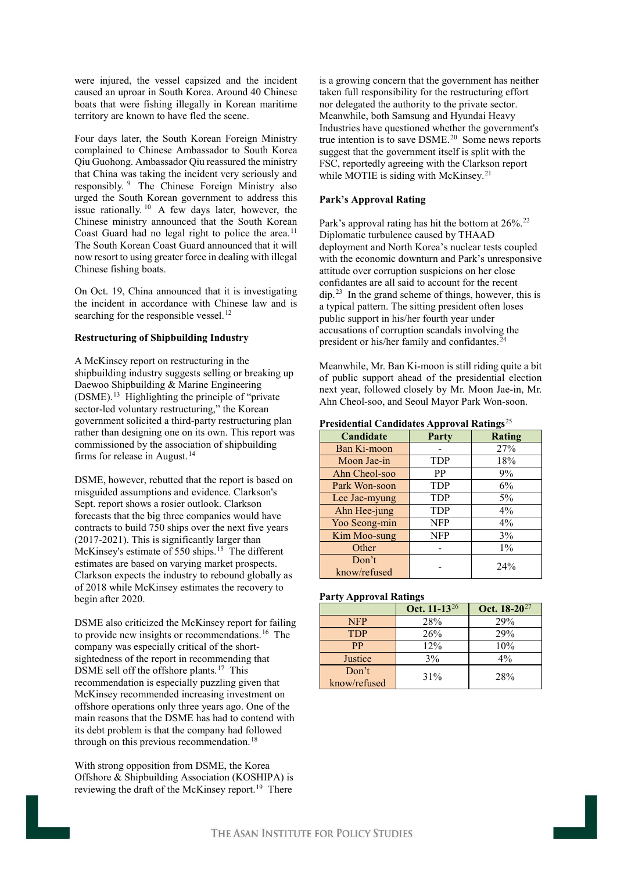were injured, the vessel capsized and the incident caused an uproar in South Korea. Around 40 Chinese boats that were fishing illegally in Korean maritime territory are known to have fled the scene.

Four days later, the South Korean Foreign Ministry complained to Chinese Ambassador to South Korea Qiu Guohong. Ambassador Qiu reassured the ministry that China was taking the incident very seriously and responsibly. <sup>9</sup> The Chinese Foreign Ministry also urged the South Korean government to address this issue rationally. <sup>10</sup> A few days later, however, the Chinese ministry announced that the South Korean Coast Guard had no legal right to police the area.<sup>11</sup> The South Korean Coast Guard announced that it will now resort to using greater force in dealing with illegal Chinese fishing boats.

On Oct. 19, China announced that it is investigating the incident in accordance with Chinese law and is searching for the responsible vessel.<sup>12</sup>

# **Restructuring of Shipbuilding Industry**

A McKinsey report on restructuring in the shipbuilding industry suggests selling or breaking up Daewoo Shipbuilding & Marine Engineering (DSME).<sup>13</sup> Highlighting the principle of "private sector-led voluntary restructuring," the Korean government solicited a third-party restructuring plan rather than designing one on its own. This report was commissioned by the association of shipbuilding firms for release in August.<sup>14</sup>

DSME, however, rebutted that the report is based on misguided assumptions and evidence. Clarkson's Sept. report shows a rosier outlook. Clarkson forecasts that the big three companies would have contracts to build 750 ships over the next five years (2017-2021). This is significantly larger than McKinsey's estimate of 550 ships.<sup>15</sup> The different estimates are based on varying market prospects. Clarkson expects the industry to rebound globally as of 2018 while McKinsey estimates the recovery to begin after 2020.

DSME also criticized the McKinsey report for failing to provide new insights or recommendations.<sup>16</sup> The company was especially critical of the short sightedness of the report in recommending that DSME sell off the offshore plants.<sup>17</sup> This recommendation is especially puzzling given that McKinsey recommended increasing investment on offshore operations only three years ago. One of the main reasons that the DSME has had to contend with its debt problem is that the company had followed through on this previous recommendation.<sup>18</sup>

With strong opposition from DSME, the Korea Offshore & Shipbuilding Association (KOSHIPA) is reviewing the draft of the McKinsey report.<sup>19</sup> There

is a growing concern that the government has neither taken full responsibility for the restructuring effort nor delegated the authority to the private sector. Meanwhile, both Samsung and Hyundai Heavy Industries have questioned whether the government's true intention is to save DSME.<sup>20</sup> Some news reports suggest that the government itself is split with the FSC, reportedly agreeing with the Clarkson report while MOTIE is siding with McKinsey.<sup>21</sup>

# **Park's Approval Rating**

Park's approval rating has hit the bottom at 26%.<sup>22</sup> Diplomatic turbulence caused by THAAD deployment and North Korea's nuclear tests coupled with the economic downturn and Park's unresponsive attitude over corruption suspicions on her close confidantes are all said to account for the recent dip.<sup>23</sup> In the grand scheme of things, however, this is a typical pattern. The sitting president often loses public support in his/her fourth year under accusations of corruption scandals involving the president or his/her family and confidantes.<sup>24</sup>

Meanwhile, Mr. Ban Ki-moon is still riding quite a bit of public support ahead of the presidential election next year, followed closely by Mr. Moon Jae-in, Mr. Ahn Cheol-soo, and Seoul Mayor Park Won-soon.

**Presidential Candidates Approval Ratings**<sup>25</sup>

| Candidate             | Party      | Rating |
|-----------------------|------------|--------|
| Ban Ki-moon           |            | 27%    |
| Moon Jae-in           | <b>TDP</b> | 18%    |
| Ahn Cheol-soo         | <b>PP</b>  | 9%     |
| Park Won-soon         | <b>TDP</b> | 6%     |
| Lee Jae-myung         | <b>TDP</b> | $5\%$  |
| Ahn Hee-jung          | <b>TDP</b> | $4\%$  |
| Yoo Seong-min         | NFP        | $4\%$  |
| Kim Moo-sung          | NFP        | 3%     |
| Other                 |            | $1\%$  |
| Don't<br>know/refused |            | 24%    |

# **Party Approval Ratings**

|              | Oct. 11-13 <sup>26</sup> | Oct. 18-20 <sup>27</sup> |
|--------------|--------------------------|--------------------------|
| <b>NFP</b>   | 28%                      | 29%                      |
| <b>TDP</b>   | 26%                      | 29%                      |
| <b>PP</b>    | 12%                      | 10%                      |
| Justice      | $3\%$                    | $4\%$                    |
| Don't        | 31%                      | 28%                      |
| know/refused |                          |                          |